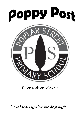

# Foundation Stage

**'**Working together-aiming high.'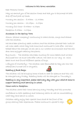#### Welcome to this terms newsletter.

Dear Parents/Carers

May we remind you of the session times and ask you to be prompt at both drop off and pick up times.

Nursery am session – 8.45am – 11.45am

Nursery pm session – 12.15pm – 3.00pm

Nursery full time—8.45am—3.00pm

Reception 8.45am – 3.00pm

# Successes in the Spring Term

Simon (drama company) continuing to share stories, songs and drama with the children.

We have been planting seeds outdoors and the children planted their individual cress seeds which they took home and continued to look after. We have talked about the changes we can see in our outdoor environment and the children have enjoyed watering the plants.

Bug hunts - The children have been hunting for mini beasts and we have discussed how we must look after nature. We went on our very on mini beast hunt and found different species of bugs.

Lifecycle of a butterfly—The children were fascinated as they saw how the caterpillars turned into a chrysalis.

# Reading & Book Bags:



The children will be bringing home a book to read for pleasure and this will be changed every Friday. Reading books will be changed on Thursday's.

# Reading is very important, please read every day with your child at home to support teaching and learning in school.

# Home work in Reception:

The children share their home learning every Monday and this promotes confidence in both speaking and listening skills as well as consolidating what they have learnt in school.

Children really enjoy their special time stood at the front of the group sharing their experiences. Please continue to upload to dojo.

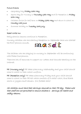#### Future Events

- Geography Day Friday 13th May
- Sports Day for Nursery is Thursday 19th May and for Reception is Friday 20th May
- Children finish for half term on Friday 27th May and return to school on Monday 13th June
- Summer holiday on Tuesday 26th July.
- •

### Read Write Inc

Daily phonics lessons continue in Reception.

Nursery children who are starting Reception in September have now started the RWI phonics sounds.



The children who are staying in nursery in September will be continuing with Phase One phonics.

There are lots of resources to support our Letters and Sounds teaching on the internet.

PE (Nursery only) PE takes place every Wednesday and your child should come to school in their school uniform.

PE (Reception only) PE takes place every Friday and your child should come to school in their PE kit which consists of a white t-shirt, blue/black shorts or joggers and trainers. (No football kits)

All children must have their earrings removed on their PE day. Please note that staff are not permitted to remove children's earrings for health and safety reasons.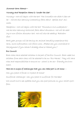#### Summer term themes—

### Nursery and Reception theme is 'Under the Sea'.

Nursery—We will begin with the text 'The Crocodile who didn't like water '. We are also learning interesting facts about reptiles and animals.

Reception—We will begin with the text ''Dinosaurs love underpants' . We are also learning historical facts about dinosaurs. We will be reading a non-fiction dinosaur text. We will also be reading 'Rainbow fish.'

Both year groups will be having an animal handling experience this term, more information will follow soon. (Please can you contribute to the payment if you haven't already done so thank you.)

#### Eco Council

Each class have selected children to be part of the Eco Council. Each week two children from each class will be selected to be our 'Eco Heroes'. They will have roles and responsibilities to ensure our school is an eco– friendly environment.

#### Here are a couple of challenges that you can take part in at home -

Can you plant a flower or a plant at home?

Sunflower challenge—can you plant a sunflower for the bees?

We would love to see updates and you can post pictures on your child's portfolio.